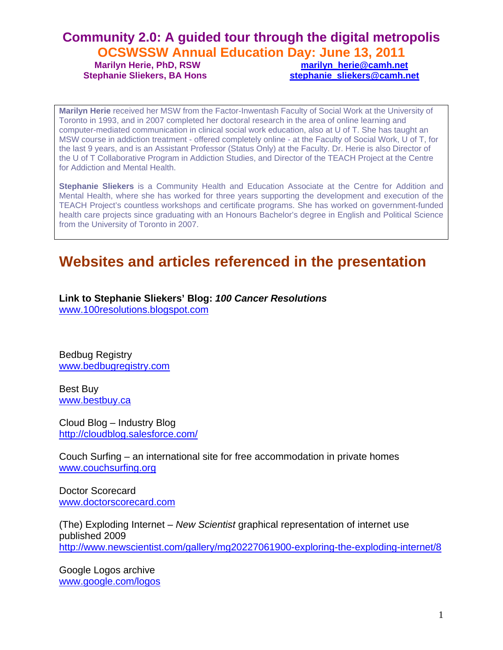## **Community 2.0: A guided tour through the digital metropolis OCSWSSW Annual Education Day: June 13, 2011**

**Marilyn Herie, PhD, RSW marilyn herie@camh.net** 

Stephanie Sliekers, BA Hons **Stephanie** Sliekers@camh.net

**Marilyn Herie** received her MSW from the Factor-Inwentash Faculty of Social Work at the University of Toronto in 1993, and in 2007 completed her doctoral research in the area of online learning and computer-mediated communication in clinical social work education, also at U of T. She has taught an MSW course in addiction treatment - offered completely online - at the Faculty of Social Work, U of T, for the last 9 years, and is an Assistant Professor (Status Only) at the Faculty. Dr. Herie is also Director of the U of T Collaborative Program in Addiction Studies, and Director of the TEACH Project at the Centre for Addiction and Mental Health.

**Stephanie Sliekers** is a Community Health and Education Associate at the Centre for Addition and Mental Health, where she has worked for three years supporting the development and execution of the TEACH Project's countless workshops and certificate programs. She has worked on government-funded health care projects since graduating with an Honours Bachelor's degree in English and Political Science from the University of Toronto in 2007.

# **Websites and articles referenced in the presentation**

**Link to Stephanie Sliekers' Blog:** *100 Cancer Resolutions* [www.100resolutions.blogspot.com](http://www.100resolutions.blogspot.com/)

Bedbug Registry [www.bedbugregistry.com](http://www.bedbugregistry.com/)

Best Buy [www.bestbuy.ca](http://www.bestbuy.ca/)

Cloud Blog – Industry Blog <http://cloudblog.salesforce.com/>

Couch Surfing – an international site for free accommodation in private homes [www.couchsurfing.org](http://www.couchsurfing.org/)

Doctor Scorecard [www.doctorscorecard.com](http://www.doctorscorecard.com/)

(The) Exploding Internet – *New Scientist* graphical representation of internet use published 2009 <http://www.newscientist.com/gallery/mg20227061900-exploring-the-exploding-internet/8>

Google Logos archive [www.google.com/logos](http://www.google.com/logos)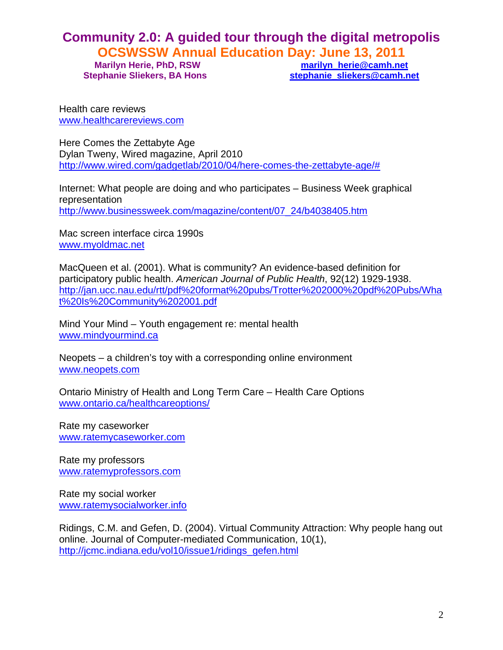# **Community 2.0: A guided tour through the digital metropolis OCSWSSW Annual Education Day: June 13, 2011**

**Marilyn Herie, PhD, RSW marilyn herie@camh.net** 

Stephanie Sliekers, BA Hons **Stephanie** Sliekers@camh.net

Health care reviews [www.healthcarereviews.com](http://www.healthcarereviews.com/)

Here Comes the Zettabyte Age Dylan Tweny, Wired magazine, April 2010 [http://www.wired.com/gadgetlab/2010/04/here-comes-the-zettabyte-age/#](http://www.wired.com/gadgetlab/2010/04/here-comes-the-zettabyte-age/) 

Internet: What people are doing and who participates – Business Week graphical representation [http://www.businessweek.com/magazine/content/07\\_24/b4038405.htm](http://www.businessweek.com/magazine/content/07_24/b4038405.htm)

Mac screen interface circa 1990s [www.myoldmac.net](http://www.myoldmac.net/)

MacQueen et al. (2001). What is community? An evidence-based definition for participatory public health. *American Journal of Public Health*, 92(12) 1929-1938. [http://jan.ucc.nau.edu/rtt/pdf%20format%20pubs/Trotter%202000%20pdf%20Pubs/Wha](http://jan.ucc.nau.edu/rtt/pdf%20format%20pubs/Trotter%202000%20pdf%20Pubs/What%20Is%20Community%202001.pdf) [t%20Is%20Community%202001.pdf](http://jan.ucc.nau.edu/rtt/pdf%20format%20pubs/Trotter%202000%20pdf%20Pubs/What%20Is%20Community%202001.pdf)

Mind Your Mind – Youth engagement re: mental health [www.mindyourmind.ca](http://www.mindyourmind.ca/) 

Neopets – a children's toy with a corresponding online environment [www.neopets.com](http://www.neopets.com/)

Ontario Ministry of Health and Long Term Care – Health Care Options [www.ontario.ca/healthcareoptions/](http://www.ontario.ca/healthcareoptions/)

Rate my caseworker [www.ratemycaseworker.com](http://www.ratemycaseworker.com/)

Rate my professors [www.ratemyprofessors.com](http://www.ratemyprofessors.com/)

Rate my social worker [www.ratemysocialworker.info](http://www.ratemysocialworker.info/)

Ridings, C.M. and Gefen, D. (2004). Virtual Community Attraction: Why people hang out online. Journal of Computer-mediated Communication, 10(1), [http://jcmc.indiana.edu/vol10/issue1/ridings\\_gefen.html](http://jcmc.indiana.edu/vol10/issue1/ridings_gefen.html)